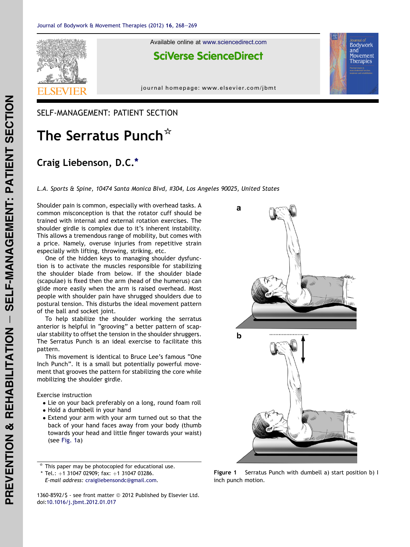<span id="page-0-0"></span>

Available online at [www.sciencedirect.com](www.sciencedirect.com/science/journal/13608592)

## **SciVerse ScienceDirect**

journal homepage: [www.elsevier.com/jbmt](http://www.elsevier.com/jbmt)

## SELF-MANAGEMENT: PATIENT SECTION

## The Serratus Punch\*

## Craig Liebenson, D.C.\*

L.A. Sports & Spine, 10474 Santa Monica Blvd, #304, Los Angeles 90025, United States

Shoulder pain is common, especially with overhead tasks. A common misconception is that the rotator cuff should be trained with internal and external rotation exercises. The shoulder girdle is complex due to it's inherent instability. This allows a tremendous range of mobility, but comes with a price. Namely, overuse injuries from repetitive strain especially with lifting, throwing, striking, etc.

One of the hidden keys to managing shoulder dysfunction is to activate the muscles responsible for stabilizing the shoulder blade from below. If the shoulder blade (scapulae) is fixed then the arm (head of the humerus) can glide more easily when the arm is raised overhead. Most people with shoulder pain have shrugged shoulders due to postural tension. This disturbs the ideal movement pattern of the ball and socket joint.

To help stabilize the shoulder working the serratus anterior is helpful in "grooving" a better pattern of scapular stability to offset the tension in the shoulder shruggers. The Serratus Punch is an ideal exercise to facilitate this pattern.

This movement is identical to Bruce Lee's famous "One Inch Punch". It is a small but potentially powerful movement that grooves the pattern for stabilizing the core while mobilizing the shoulder girdle.

Exercise instruction

- Lie on your back preferably on a long, round foam roll
- Hold a dumbbell in your hand
- Extend your arm with your arm turned out so that the back of your hand faces away from your body (thumb towards your head and little finger towards your waist) (see Fig. 1a)

This paper may be photocopied for educational use.

\* Tel.:  $+1$  31047 02909; fax:  $+1$  31047 03286.

E-mail address: [craigliebensondc@gmail.com](mailto:craigliebensondc@gmail.com).

1360-8592/\$ - see front matter  $@$  2012 Published by Elsevier Ltd. doi:[10.1016/j.jbmt.2012.01.017](http://dx.doi.org/10.1016/j.jbmt.2012.01.017)



Bodywork and

Movement Therapies

Figure 1 Serratus Punch with dumbell a) start position b) I inch punch motion.